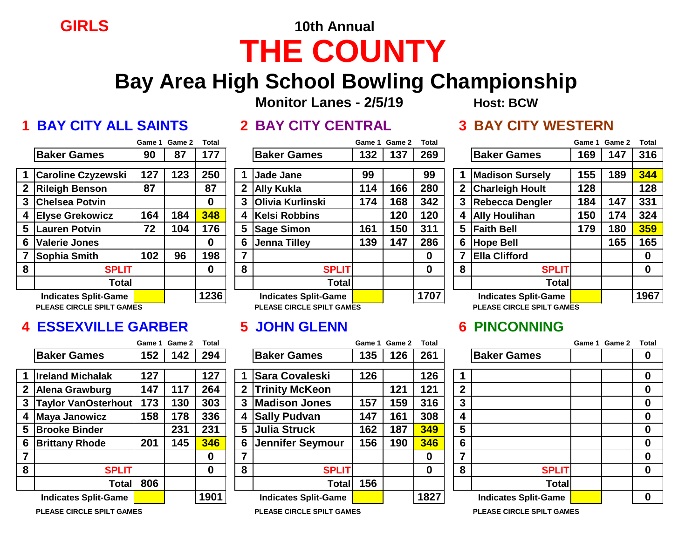## **GIRLS 10th Annual THE COUNTY**

### **Bay Area High School Bowling Championship**

**Monitor Lanes - 2/5/19 Host: BCW** 

### **1 BAY CITY ALL SAINTS 2 BAY CITY CENTRAL 3 BAY CITY WESTERN**

|--|

### **Game 1 Game 2 Total Game 1 Game 2 Total Game 1 Game 2 Total**

|                  |                             | Game 1 | Game 2 | <b>Total</b> |
|------------------|-----------------------------|--------|--------|--------------|
|                  | <b>Baker Games</b>          | 90     | 87     | 177          |
|                  |                             |        |        |              |
| 1                | <b>Caroline Czyzewski</b>   | 127    | 123    | 250          |
| $\boldsymbol{2}$ | <b>Rileigh Benson</b>       | 87     |        | 87           |
| 3                | <b>Chelsea Potvin</b>       |        |        | O            |
| 4                | <b>Elyse Grekowicz</b>      | 164    | 184    | 348          |
| 5                | <b>Lauren Potvin</b>        | 72     | 104    | 176          |
| 6                | <b>Valerie Jones</b>        |        |        | O            |
| $\overline{7}$   | Sophia Smith                | 102    | 96     | 198          |
| 8                | <b>SPLIT</b>                |        |        | O            |
|                  | <b>Total</b>                |        |        |              |
|                  | <b>Indicates Split-Game</b> |        |        | 1236         |

### **4 ESSEXVILLE GARBER 5 JOHN GLENN 6 PINCONNING**

|              |                             |     | Game 1 Game 2 | Total        |   |                                    |     | Game 1 Game 2 | Total    |   |                             | Game 1 Game 2 | Tot |
|--------------|-----------------------------|-----|---------------|--------------|---|------------------------------------|-----|---------------|----------|---|-----------------------------|---------------|-----|
|              | <b>Baker Games</b>          | 152 | 142           | 294          |   | <b>Baker Games</b>                 | 135 | 126           | 261      |   | <b>Baker Games</b>          |               |     |
|              | <b>Ireland Michalak</b>     | 127 |               | 127          |   | <b>Sara Covaleski</b>              | 126 |               | 126      |   |                             |               |     |
| $\mathbf{2}$ | <b>Alena Grawburg</b>       | 147 | 117           | 264          |   | 2 Trinity McKeon                   |     | 121           | 121      | 2 |                             |               |     |
| 3            | <b>Taylor VanOsterhout</b>  | 173 | 130           | 303          |   | 3 Madison Jones                    | 157 | 159           | 316      | 3 |                             |               |     |
|              | 4 Maya Janowicz             | 158 | 178           | 336          |   | 4 Sally Pudvan                     | 147 | 161           | 308      | 4 |                             |               |     |
|              | 5 Brooke Binder             |     | 231           | 231          |   | 5 Julia Struck                     | 162 | 187           | 349      | 5 |                             |               |     |
|              | <b>6 Brittany Rhode</b>     | 201 | 145           | 346          |   | 6 Jennifer Seymour                 | 156 | 190           | 346      | 6 |                             |               |     |
|              |                             |     |               | 0            |   |                                    |     |               | $\bf{0}$ | ⇁ |                             |               |     |
| 8            | <b>SPLIT</b>                |     |               | $\mathbf{0}$ | 8 | <b>SPLIT</b>                       |     |               | $\bf{0}$ | 8 | <b>SPLIT</b>                |               |     |
|              | Total                       | 806 |               |              |   | <b>Total</b>                       | 156 |               |          |   | <b>Total</b>                |               |     |
|              | <b>Indicates Split-Game</b> |     |               | 1901         |   | <b>Indicates Split-Game</b>        |     |               | 1827     |   | <b>Indicates Split-Game</b> |               | 0   |
|              | ---------------------       |     |               |              |   | י-יייד – רייד ייסויים ומחיר – רייד |     |               |          |   | ----------------------      |               |     |

|   |                                  | <b>Gane</b> L | <b>Postitution</b> | ι υιαι      |    |                             |     | Game I Game Z | i vldi      |   |                                  |     | Game I Game Z | πυιαι       |
|---|----------------------------------|---------------|--------------------|-------------|----|-----------------------------|-----|---------------|-------------|---|----------------------------------|-----|---------------|-------------|
|   | <b>Baker Games</b>               | 90            | 87                 | 177         |    | <b>Baker Games</b>          | 132 | 137           | 269         |   | <b>Baker Games</b>               | 169 | 147           | 316         |
|   |                                  |               |                    |             |    |                             |     |               |             |   |                                  |     |               |             |
|   | <b>Caroline Czyzewski</b>        | 127           | 123                | 250         |    | <b>Jade Jane</b>            | 99  |               | 99          |   | <b>Madison Sursely</b>           | 155 | 189           | 344         |
|   | 2 Rileigh Benson                 | 87            |                    | 87          |    | 2 Ally Kukla                | 114 | 166           | 280         |   | <b>Charleigh Hoult</b>           | 128 |               | 128         |
|   | 3  Chelsea Potvin                |               |                    | $\mathbf 0$ |    | 3 Olivia Kurlinski          | 174 | 168           | 342         |   | <b>Rebecca Dengler</b>           | 184 | 147           | 331         |
|   | 4 Elyse Grekowicz                | 164           | 184                | 348         | 4  | Kelsi Robbins               |     | 120           | 120         | 4 | <b>Ally Houlihan</b>             | 150 | 174           | 324         |
|   | 5 Lauren Potvin                  | 72            | 104                | 176         |    | 5 Sage Simon                | 161 | 150           | 311         |   | 5 Faith Bell                     | 179 | 180           | 359         |
|   | 6 Valerie Jones                  |               |                    | 0           | 6. | Jenna Tilley                | 139 | 147           | 286         | 6 | Hope Bell                        |     | 165           | 165         |
|   | Sophia Smith                     | 102           | 96                 | 198         |    |                             |     |               | 0           |   | <b>Ella Clifford</b>             |     |               | $\bf{0}$    |
| 8 | <b>SPLIT</b>                     |               |                    | $\bf{0}$    | 8  | <b>SPLIT</b>                |     |               | $\mathbf 0$ | 8 | <b>SPLIT</b>                     |     |               | $\mathbf 0$ |
|   | Total                            |               |                    |             |    | <b>Total</b>                |     |               |             |   | <b>Total</b>                     |     |               |             |
|   | <b>Indicates Split-Game</b>      |               |                    | 1236        |    | <b>Indicates Split-Game</b> |     |               | 1707        |   | <b>Indicates Split-Game</b>      |     |               | 1967        |
|   | <b>PLEASE CIRCLE SPILT GAMES</b> |               |                    |             |    | PLEASE CIRCLE SPILT GAMES   |     |               |             |   | <b>PLEASE CIRCLE SPILT GAMES</b> |     |               |             |

|                                  | Game 1 | Game 2 | Total    |                |                                  | Game 1 | Game 2 | <b>Total</b> |                          |                                  | Game 1 Game 2 | Tot |
|----------------------------------|--------|--------|----------|----------------|----------------------------------|--------|--------|--------------|--------------------------|----------------------------------|---------------|-----|
| <b>Baker Games</b>               | 152    | 142    | 294      |                | <b>Baker Games</b>               | 135    | 126    | 261          |                          | <b>Baker Games</b>               |               |     |
| <b>Ireland Michalak</b>          | 127    |        | 127      |                | <b>Sara Covaleski</b>            | 126    |        | 126          |                          |                                  |               |     |
| <b>Alena Grawburg</b>            | 147    | 117    | 264      | 2              | <b>Trinity McKeon</b>            |        | 121    | 121          | $\mathbf{2}$             |                                  |               |     |
| <b>Taylor VanOsterhout</b>       | 173    | 130    | 303      | 3              | <b>Madison Jones</b>             | 157    | 159    | 316          | 3                        |                                  |               |     |
| <b>Maya Janowicz</b>             | 158    | 178    | 336      | 4              | <b>Sally Pudvan</b>              | 147    | 161    | 308          | 4                        |                                  |               |     |
| <b>Brooke Binder</b>             |        | 231    | 231      | 5 <sup>1</sup> | Julia Struck                     | 162    | 187    | 349          | 5                        |                                  |               |     |
| <b>Brittany Rhode</b>            | 201    | 145    | 346      | 6              | Jennifer Seymour                 | 156    | 190    | 346          | 6                        |                                  |               | 0   |
|                                  |        |        | $\bf{0}$ |                |                                  |        |        | 0            | $\overline{\phantom{a}}$ |                                  |               |     |
| <b>SPLIT</b>                     |        |        | 0        | 8              | <b>SPLIT</b>                     |        |        | 0            | 8                        | <b>SPLIT</b>                     |               |     |
| <b>Total</b>                     | 806    |        |          |                | <b>Total</b>                     | 156    |        |              |                          | <b>Total</b>                     |               |     |
| <b>Indicates Split-Game</b>      |        |        | 1901     |                | <b>Indicates Split-Game</b>      |        |        | 1827         |                          | <b>Indicates Split-Game</b>      |               | 0   |
| <b>PLEASE CIRCLE SPILT GAMES</b> |        |        |          |                | <b>PLEASE CIRCLE SPILT GAMES</b> |        |        |              |                          | <b>PLEASE CIRCLE SPILT GAMES</b> |               |     |

# **1 Caroline Czyzewski 127 123 250 1 Jade Jane 99 99 1 Madison Sursely 155 189 344 2 Rileigh Benson 87 87 2 Ally Kukla 114 166 280 2 Charleigh Hoult 128 128 3 Chelsea Potvin 0 3 Olivia Kurlinski 174 168 342 3 Rebecca Dengler 184 147 331 Indicates Split-Game 1236 Indicates Split-Game 1707 Indicates Split-Game 1967**

|        | Game 1 Game 2 | Total       |              |                                   |     | Game 1 Game 2 | Total |                |                              | Game 1 Game 2 | <b>Total</b> |
|--------|---------------|-------------|--------------|-----------------------------------|-----|---------------|-------|----------------|------------------------------|---------------|--------------|
| 152    | 142           | 294         |              | <b>Baker Games</b>                | 135 | 126           | 261   |                | <b>Baker Games</b>           |               | 0            |
| 127    |               | 127         |              | <b>Sara Covaleski</b>             | 126 |               | 126   |                |                              |               | 0            |
| 147    | 117           | 264         | $\mathbf{2}$ | <b>Trinity McKeon</b>             |     | 121           | 121   | $\overline{2}$ |                              |               | 0            |
| 173    | 130           | 303         |              | <b>Madison Jones</b><br>3         | 157 | 159           | 316   | 3              |                              |               | 0            |
| 158    | 178           | 336         | 4            | <b>Sally Pudvan</b>               | 147 | 161           | 308   | 4              |                              |               | 0            |
|        | 231           | 231         | 5            | <b>Julia Struck</b>               | 162 | 187           | 349   | 5              |                              |               | 0            |
| 201    | 145           | 346         | 6            | <b>Jennifer Seymour</b>           | 156 | 190           | 346   | 6              |                              |               | $\bf{0}$     |
|        |               | $\bf{0}$    | 7            |                                   |     |               | 0     | 7              |                              |               | $\bf{0}$     |
|        |               | $\mathbf 0$ | 8            | <b>SPLIT</b>                      |     |               | 0     | 8              | <b>SPLIT</b>                 |               | 0            |
| 806    |               |             |              | Total                             | 156 |               |       |                | <b>Total</b>                 |               |              |
|        |               | 1901        |              | <b>Indicates Split-Game</b>       |     |               | 1827  |                | <b>Indicates Split-Game</b>  |               | $\bf{0}$     |
| $\sim$ |               |             |              | <b>DLEAGE QIBOLE QBILT QANIFO</b> |     |               |       |                | DLEAGE AIR ALE ARILE A ANIEA |               |              |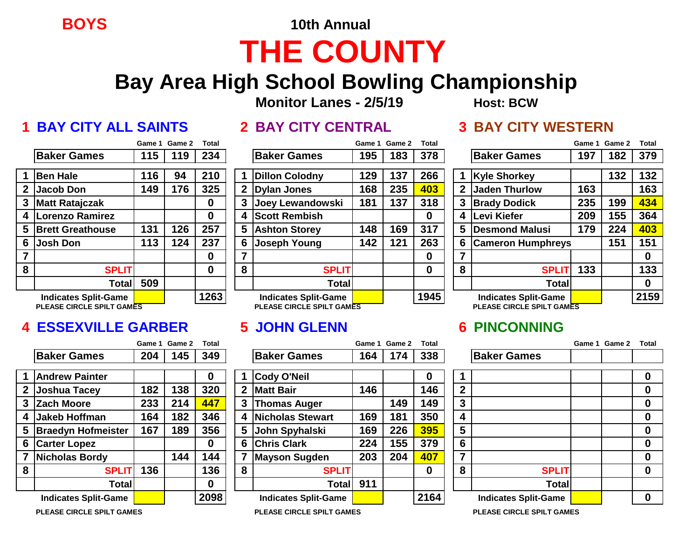**BOYS 10th Annual**

# **THE COUNTY**

## **Bay Area High School Bowling Championship**

**Monitor Lanes - 2/5/19 Host: BCW**

### **1 BAY CITY ALL SAINTS 2 BAY CITY CENTRAL 3 BAY CITY WESTERN**

|                         |                                          | Game 1 | Game 2 | Total |
|-------------------------|------------------------------------------|--------|--------|-------|
|                         | <b>Baker Games</b>                       | 115    | 119    | 234   |
| $\blacktriangleleft$    |                                          | 116    | 94     | 210   |
|                         | <b>Ben Hale</b>                          |        |        |       |
| $\boldsymbol{2}$        | <b>Jacob Don</b>                         | 149    | 176    | 325   |
| $\mathbf{3}$            | <b>Matt Ratajczak</b>                    |        |        | 0     |
| $\overline{\mathbf{4}}$ | <b>Lorenzo Ramirez</b>                   |        |        | 0     |
| $\overline{\mathbf{5}}$ | <b>Brett Greathouse</b>                  | 131    | 126    | 257   |
| 6                       | <b>Josh Don</b>                          | 113    | 124    | 237   |
| $\overline{7}$          |                                          |        |        | 0     |
| 8                       | <b>SPLIT</b>                             |        |        | 0     |
|                         | <b>Total</b>                             | 509    |        |       |
|                         | <b>Indicates Split-Game</b>              |        |        | 1263  |
|                         | PI FASE CIRCI E SPII T GAM <del>ES</del> |        |        |       |

### **4 ESSEXVILLE GARBER 5 JOHN GLENN 6 PINCONNING**

|                |                             | Game 1 | Game 2 | <b>Total</b> |   |                             |     | Game 1 Game 2 | <b>Total</b> |                |                             | Game 1 | Game 2 | Tot |
|----------------|-----------------------------|--------|--------|--------------|---|-----------------------------|-----|---------------|--------------|----------------|-----------------------------|--------|--------|-----|
|                | <b>Baker Games</b>          | 204    | 145    | 349          |   | <b>Baker Games</b>          | 164 | 174           | 338          |                | <b>Baker Games</b>          |        |        |     |
|                | <b>Andrew Painter</b>       |        |        | 0            |   | Cody O'Neil                 |     |               | 0            |                |                             |        |        |     |
| 2 <sup>1</sup> | <b>Joshua Tacey</b>         | 182    | 138    | 320          |   | <b>Matt Bair</b>            | 146 |               | 146          | $\overline{2}$ |                             |        |        |     |
|                | 3 Zach Moore                | 233    | 214    | 447          | 3 | <b>Thomas Auger</b>         |     | 149           | 149          | 3              |                             |        |        |     |
| 4              | Jakeb Hoffman               | 164    | 182    | 346          |   | <b>Nicholas Stewart</b>     | 169 | 181           | 350          | 4              |                             |        |        |     |
|                | 5 Braedyn Hofmeister        | 167    | 189    | 356          |   | 5 John Spyhalski            | 169 | 226           | 395          | 5              |                             |        |        |     |
| 6              | <b>Carter Lopez</b>         |        |        | $\bf{0}$     |   | <b>Chris Clark</b>          | 224 | 155           | 379          | 6              |                             |        |        |     |
|                | <b>Nicholas Bordy</b>       |        | 144    | 144          |   | <b>Mayson Sugden</b>        | 203 | 204           | 407          | 7              |                             |        |        |     |
| 8              | <b>SPLIT</b>                | 136    |        | 136          | 8 | <b>SPLIT</b>                |     |               | 0            | 8              | <b>SPLIT</b>                |        |        |     |
|                | Totall                      |        |        | $\bf{0}$     |   | Totall                      | 911 |               |              |                | <b>Total</b>                |        |        |     |
|                | <b>Indicates Split-Game</b> |        |        | 2098         |   | <b>Indicates Split-Game</b> |     |               | 2164         |                | <b>Indicates Split-Game</b> |        |        | 0   |
|                |                             |        |        |              |   |                             |     |               |              |                |                             |        |        |     |

|             |                             | Game 1 | Game 2 | <b>Total</b> |   |                             | Game 1 | <b>Game 2</b> | <b>Total</b> |   |                             | Game 1 | Game 2 | <b>Total</b> |
|-------------|-----------------------------|--------|--------|--------------|---|-----------------------------|--------|---------------|--------------|---|-----------------------------|--------|--------|--------------|
|             | <b>Baker Games</b>          | 115    | 119    | 234          |   | <b>Baker Games</b>          | 195    | 183           | 378          |   | <b>Baker Games</b>          | 197    | 182    | 379          |
|             | <b>Ben Hale</b>             | 116    | 94     | 210          |   | <b>Dillon Colodny</b>       | 129    | 137           | 266          |   | <b>Kyle Shorkey</b>         |        | 132    | 132          |
| $\mathbf 2$ | Jacob Don                   | 149    | 176    | 325          |   | 2   Dylan Jones             | 168    | 235           | 403          | 2 | <b>Jaden Thurlow</b>        | 163    |        | 163          |
|             | 3 Matt Ratajczak            |        |        | 0            |   | Joey Lewandowski            | 181    | 137           | 318          | 3 | <b>Brady Dodick</b>         | 235    | 199    | 434          |
|             | 4 Lorenzo Ramirez           |        |        | 0            |   | <b>Scott Rembish</b>        |        |               | 0            | 4 | Levi Kiefer                 | 209    | 155    | 364          |
|             | 5 Brett Greathouse          | 131    | 126    | 257          |   | 5 Ashton Storey             | 148    | 169           | 317          | 5 | Desmond Malusi              | 179    | 224    | 403          |
| 6           | Josh Don                    | 113    | 124    | 237          |   | 6 Joseph Young              | 142    | 121           | 263          | 6 | <b>Cameron Humphreys</b>    |        | 151    | 151          |
|             |                             |        |        | 0            |   |                             |        |               | 0            |   |                             |        |        | 0            |
| 8           | <b>SPLIT</b>                |        |        | 0            | 8 | <b>SPLIT</b>                |        |               | 0            | 8 | <b>SPLIT</b>                | 133    |        | 133          |
|             | Total                       | 509    |        |              |   | Total                       |        |               |              |   | <b>Total</b>                |        |        | 0            |
|             | <b>Indicates Split-Game</b> |        |        | 1263         |   | <b>Indicates Split-Game</b> |        |               | 1945         |   | <b>Indicates Split-Game</b> |        |        | 2159         |
|             | PLEASE CIRCLE SPILT GAMES   |        |        |              |   | PLEASE CIRCLE SPILT GAMES   |        |               |              |   | PLEASE CIRCLE SPILT GAMES   |        |        |              |

|                             |     | Game 1 Game 2 | <b>Total</b> |    |                                  | Game 1 | Game 2 | <b>Total</b> |                         |                             | Game 1 Game 2 | Total       |
|-----------------------------|-----|---------------|--------------|----|----------------------------------|--------|--------|--------------|-------------------------|-----------------------------|---------------|-------------|
| <b>Baker Games</b>          | 204 | 145           | 349          |    | <b>Baker Games</b>               | 164    | 174    | 338          |                         | <b>Baker Games</b>          |               |             |
| <b>Andrew Painter</b>       |     |               | O            |    | Cody O'Neil                      |        |        | O            |                         |                             |               | $\bf{0}$    |
| <b>Joshua Tacey</b>         | 182 | 138           | 320          | 2  | <b>Matt Bair</b>                 | 146    |        | 146          | $\mathbf{2}$            |                             |               | $\mathbf 0$ |
| <b>Zach Moore</b>           | 233 | 214           | 447          | 3. | <b>Thomas Auger</b>              |        | 149    | 149          | 3                       |                             |               | $\mathbf 0$ |
| <b>Jakeb Hoffman</b>        | 164 | 182           | 346          |    | <b>Nicholas Stewart</b>          | 169    | 181    | 350          | 4                       |                             |               | $\bf{0}$    |
| <b>Braedyn Hofmeister</b>   | 167 | 189           | 356          | 5  | John Spyhalski                   | 169    | 226    | 395          | 5                       |                             |               | $\mathbf 0$ |
| <b>Carter Lopez</b>         |     |               | 0            | 6  | <b>Chris Clark</b>               | 224    | 155    | 379          | 6                       |                             |               | $\mathbf 0$ |
| <b>Nicholas Bordy</b>       |     | 144           | 144          |    | Mayson Sugden                    | 203    | 204    | 407          | $\overline{\mathbf{z}}$ |                             |               | $\mathbf 0$ |
| <b>SPLIT</b>                | 136 |               | 136          | 8  | <b>SPLIT</b>                     |        |        | 0            | 8                       | <b>SPLIT</b>                |               | $\mathbf 0$ |
| <b>Totall</b>               |     |               | 0            |    | Total                            | 911    |        |              |                         | <b>Total</b>                |               |             |
| <b>Indicates Split-Game</b> |     |               | 2098         |    | <b>Indicates Split-Game</b>      |        |        | 2164         |                         | <b>Indicates Split-Game</b> |               | $\bf{0}$    |
| PLEASE CIRCLE SPILT GAMES   |     |               |              |    | <b>PLEASE CIRCLE SPILT GAMES</b> |        |        |              |                         | PLEASE CIRCLE SPILT GAMES   |               |             |

|                |                                  | Game 1 | Game 2 | <b>Total</b> |
|----------------|----------------------------------|--------|--------|--------------|
|                | <b>Baker Games</b>               | 197    | 182    | 379          |
|                | <b>Kyle Shorkey</b>              |        | 132    | 132          |
| $\mathbf{2}$   | <b>Jaden Thurlow</b>             | 163    |        | 163          |
| 3              | <b>Brady Dodick</b>              | 235    | 199    | 434          |
| 4              | Levi Kiefer                      | 209    | 155    | 364          |
| 5              | <b>Desmond Malusi</b>            | 179    | 224    | 403          |
| 6              | <b>Cameron Humphreys</b>         |        | 151    | 151          |
| $\overline{7}$ |                                  |        |        | 0            |
| 8              | <b>SPLIT</b>                     | 133    |        | 133          |
|                | <b>Total</b>                     |        |        | O            |
|                | <b>Indicates Split-Game</b>      |        |        | 2159         |
|                | <b>PLEASE CIRCLE SPILT GAMES</b> |        |        |              |

|              |                             | Game 1 Game 2 | <b>Total</b> |
|--------------|-----------------------------|---------------|--------------|
|              | <b>Baker Games</b>          |               |              |
| 1            |                             |               | 0            |
| $\mathbf{2}$ |                             |               | 0            |
| 3            |                             |               | 0            |
| 4            |                             |               | 0            |
| 5            |                             |               | 0            |
| 6            |                             |               | 0            |
| 7            |                             |               | 0            |
| 8            | <b>SPLIT</b>                |               | 0            |
|              | <b>Total</b>                |               |              |
|              | <b>Indicates Split-Game</b> |               |              |
|              | DUEACE CIDOLE COU T CAMEC   |               |              |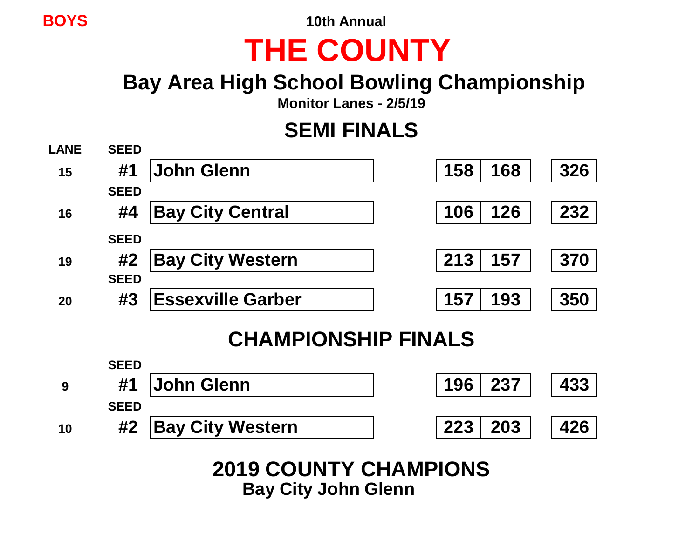**BOYS 10th Annual**

# **THE COUNTY**

## **Bay Area High School Bowling Championship**

**Monitor Lanes - 2/5/19**

### **SEMI FINALS**



### **CHAMPIONSHIP FINALS**



**2019 COUNTY CHAMPIONS Bay City John Glenn**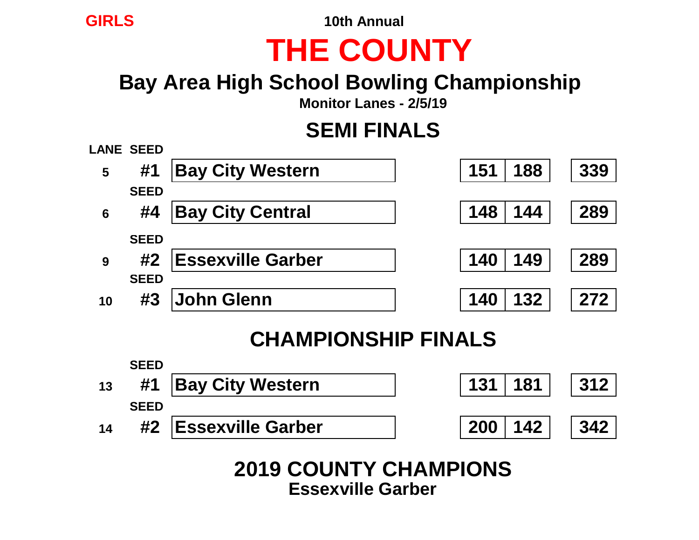**GIRLS 10th Annual**

# **THE COUNTY**

## **Bay Area High School Bowling Championship**

**Monitor Lanes - 2/5/19**

## **SEMI FINALS**



### **CHAMPIONSHIP FINALS**



**2019 COUNTY CHAMPIONS Essexville Garber**